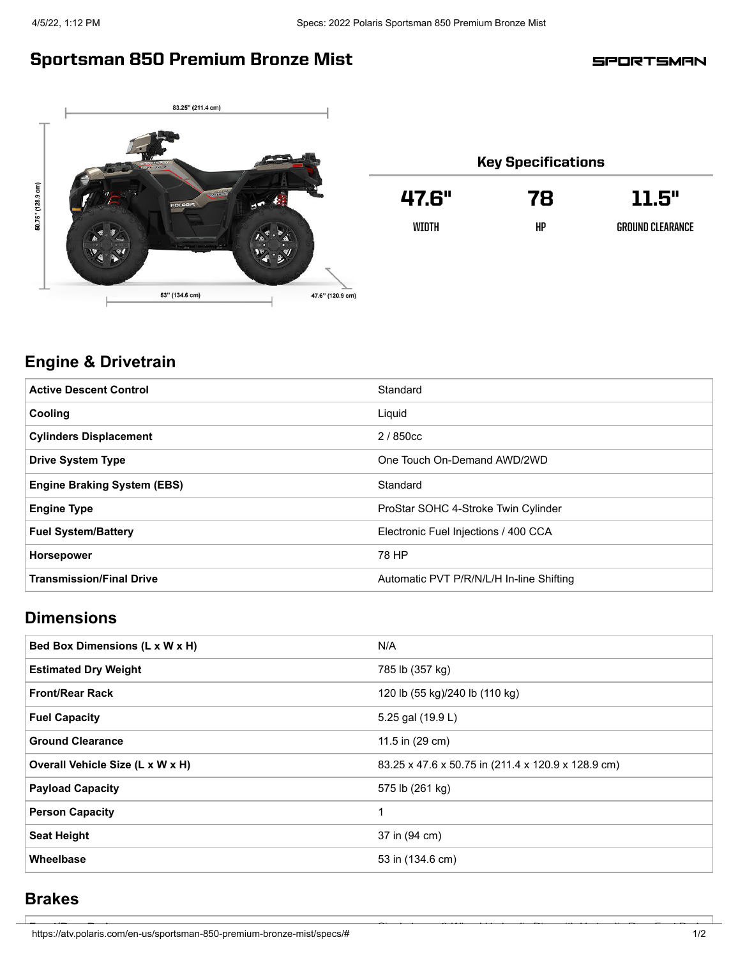# Sportsman 850 Premium Bronze Mist

**SPORTSMAN** 



| <b>Key Specifications</b> |    |                  |  |
|---------------------------|----|------------------|--|
| 47.6"                     | 78 | 11.5"            |  |
| WIDTH                     | HP | GROUND CLEARANCE |  |

## **Engine & Drivetrain**

| <b>Active Descent Control</b>      | Standard                                 |
|------------------------------------|------------------------------------------|
| Cooling                            | Liquid                                   |
| <b>Cylinders Displacement</b>      | 2/850cc                                  |
| <b>Drive System Type</b>           | One Touch On-Demand AWD/2WD              |
| <b>Engine Braking System (EBS)</b> | Standard                                 |
| <b>Engine Type</b>                 | ProStar SOHC 4-Stroke Twin Cylinder      |
| <b>Fuel System/Battery</b>         | Electronic Fuel Injections / 400 CCA     |
| <b>Horsepower</b>                  | 78 HP                                    |
| <b>Transmission/Final Drive</b>    | Automatic PVT P/R/N/L/H In-line Shifting |

## **Dimensions**

| Bed Box Dimensions (L x W x H)   | N/A                                                |
|----------------------------------|----------------------------------------------------|
| <b>Estimated Dry Weight</b>      | 785 lb (357 kg)                                    |
| <b>Front/Rear Rack</b>           | 120 lb (55 kg)/240 lb (110 kg)                     |
| <b>Fuel Capacity</b>             | 5.25 gal (19.9 L)                                  |
| <b>Ground Clearance</b>          | 11.5 in (29 cm)                                    |
| Overall Vehicle Size (L x W x H) | 83.25 x 47.6 x 50.75 in (211.4 x 120.9 x 128.9 cm) |
| <b>Payload Capacity</b>          | 575 lb (261 kg)                                    |
| <b>Person Capacity</b>           |                                                    |
| <b>Seat Height</b>               | 37 in (94 cm)                                      |
| Wheelbase                        | 53 in (134.6 cm)                                   |

#### **Brakes**